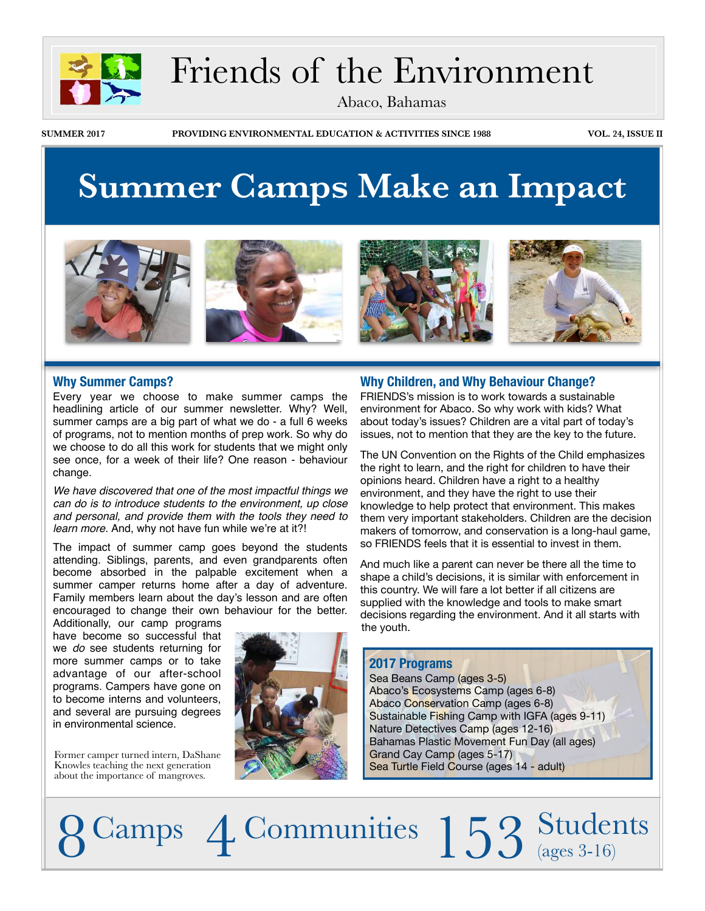

## Friends of the Environment

Abaco, Bahamas

**SUMMER 2017 PROVIDING ENVIRONMENTAL EDUCATION & ACTIVITIES SINCE 1988 VOL. 24, ISSUE II**

## **Summer Camps Make an Impact**



### **Why Summer Camps?**

Every year we choose to make summer camps the headlining article of our summer newsletter. Why? Well, summer camps are a big part of what we do - a full 6 weeks of programs, not to mention months of prep work. So why do we choose to do all this work for students that we might only see once, for a week of their life? One reason - behaviour change.

*We have discovered that one of the most impactful things we can do is to introduce students to the environment, up close and personal, and provide them with the tools they need to learn more.* And, why not have fun while we're at it?!

The impact of summer camp goes beyond the students attending. Siblings, parents, and even grandparents often become absorbed in the palpable excitement when a summer camper returns home after a day of adventure. Family members learn about the day's lesson and are often encouraged to change their own behaviour for the better.

Additionally, our camp programs have become so successful that we *do* see students returning for more summer camps or to take advantage of our after-school programs. Campers have gone on to become interns and volunteers, and several are pursuing degrees in environmental science.

Former camper turned intern, DaShane Knowles teaching the next generation about the importance of mangroves.



### **Why Children, and Why Behaviour Change?**

FRIENDS's mission is to work towards a sustainable environment for Abaco. So why work with kids? What about today's issues? Children are a vital part of today's issues, not to mention that they are the key to the future.

The UN Convention on the Rights of the Child emphasizes the right to learn, and the right for children to have their opinions heard. Children have a right to a healthy environment, and they have the right to use their knowledge to help protect that environment. This makes them very important stakeholders. Children are the decision makers of tomorrow, and conservation is a long-haul game, so FRIENDS feels that it is essential to invest in them.

And much like a parent can never be there all the time to shape a child's decisions, it is similar with enforcement in this country. We will fare a lot better if all citizens are supplied with the knowledge and tools to make smart decisions regarding the environment. And it all starts with the youth.

### **2017 Programs**

Sea Beans Camp (ages 3-5) Abaco's Ecosystems Camp (ages 6-8) Abaco Conservation Camp (ages 6-8) Sustainable Fishing Camp with IGFA (ages 9-11) Nature Detectives Camp (ages 12-16) Bahamas Plastic Movement Fun Day (all ages) Grand Cay Camp (ages 5-17) Sea Turtle Field Course (ages 14 - adult)

8 Camps 4 Communities 153 Students (ages 3-16)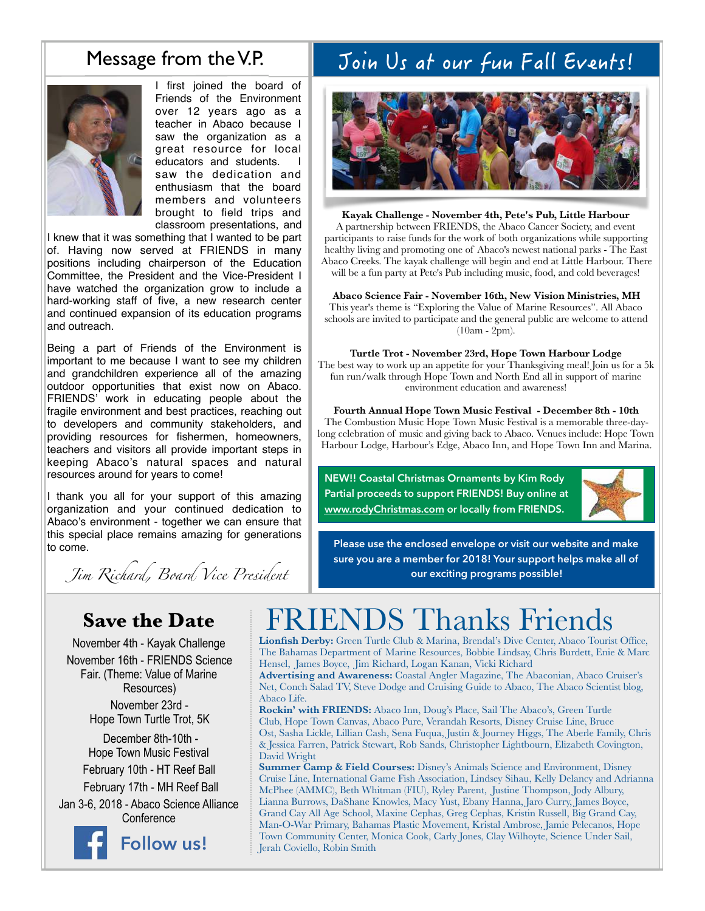### Message from the V.P.



I first joined the board of Friends of the Environment over 12 years ago as a teacher in Abaco because I saw the organization as a great resource for local educators and students. I saw the dedication and enthusiasm that the board members and volunteers brought to field trips and classroom presentations, and

I knew that it was something that I wanted to be part of. Having now served at FRIENDS in many positions including chairperson of the Education Committee, the President and the Vice-President I have watched the organization grow to include a hard-working staff of five, a new research center and continued expansion of its education programs and outreach.

Being a part of Friends of the Environment is important to me because I want to see my children and grandchildren experience all of the amazing outdoor opportunities that exist now on Abaco. FRIENDS' work in educating people about the fragile environment and best practices, reaching out to developers and community stakeholders, and providing resources for fishermen, homeowners, teachers and visitors all provide important steps in keeping Abaco's natural spaces and natural resources around for years to come!

I thank you all for your support of this amazing organization and your continued dedication to Abaco's environment - together we can ensure that this special place remains amazing for generations to come.

*Jim Richard, Board Vice Pr*e*ident*

### Join Us at our Fun Fall Events!



#### **Kayak Challenge - November 4th, Pete's Pub, Little Harbour**

A partnership between FRIENDS, the Abaco Cancer Society, and event participants to raise funds for the work of both organizations while supporting healthy living and promoting one of Abaco's newest national parks - The East Abaco Creeks. The kayak challenge will begin and end at Little Harbour. There will be a fun party at Pete's Pub including music, food, and cold beverages!

**Abaco Science Fair - November 16th, New Vision Ministries, MH**

This year's theme is "Exploring the Value of Marine Resources". All Abaco schools are invited to participate and the general public are welcome to attend (10am - 2pm).

**Turtle Trot - November 23rd, Hope Town Harbour Lodge** The best way to work up an appetite for your Thanksgiving meal! Join us for a 5k fun run/walk through Hope Town and North End all in support of marine environment education and awareness!

**Fourth Annual Hope Town Music Festival - December 8th - 10th** The Combustion Music Hope Town Music Festival is a memorable three-daylong celebration of music and giving back to Abaco. Venues include: Hope Town Harbour Lodge, Harbour's Edge, Abaco Inn, and Hope Town Inn and Marina.

**NEW!! Coastal Christmas Ornaments by Kim Rody Partial proceeds to support FRIENDS! Buy online at [www.rodyChristmas.com](http://www.rodyChristmas.com) or locally from FRIENDS.**



**Please use the enclosed envelope or visit our website and make sure you are a member for 2018! Your support helps make all of our exciting programs possible!**

### **Save the Date**

November 4th - Kayak Challenge November 16th - FRIENDS Science Fair. (Theme: Value of Marine Resources) November 23rd - Hope Town Turtle Trot, 5K

 December 8th-10th - Hope Town Music Festival February 10th - HT Reef Ball February 17th - MH Reef Ball

Jan 3-6, 2018 - Abaco Science Alliance **Conference** 



**Follow us!**

## FRIENDS Thanks Friends

**Lionfish Derby:** Green Turtle Club & Marina, Brendal's Dive Center, Abaco Tourist Office, The Bahamas Department of Marine Resources, Bobbie Lindsay, Chris Burdett, Enie & Marc Hensel, James Boyce, Jim Richard, Logan Kanan, Vicki Richard

**Advertising and Awareness:** Coastal Angler Magazine, The Abaconian, Abaco Cruiser's Net, Conch Salad TV, Steve Dodge and Cruising Guide to Abaco, The Abaco Scientist blog, Abaco Life.

**Rockin' with FRIENDS:** Abaco Inn, Doug's Place, Sail The Abaco's, Green Turtle Club, Hope Town Canvas, Abaco Pure, Verandah Resorts, Disney Cruise Line, Bruce Ost, Sasha Lickle, Lillian Cash, Sena Fuqua, Justin & Journey Higgs, The Aberle Family, Chris & Jessica Farren, Patrick Stewart, Rob Sands, Christopher Lightbourn, Elizabeth Covington, David Wright

**Summer Camp & Field Courses:** Disney's Animals Science and Environment, Disney Cruise Line, International Game Fish Association, Lindsey Sihau, Kelly Delancy and Adrianna McPhee (AMMC), Beth Whitman (FIU), Ryley Parent, Justine Thompson, Jody Albury, Lianna Burrows, DaShane Knowles, Macy Yust, Ebany Hanna, Jaro Curry, James Boyce, Grand Cay All Age School, Maxine Cephas, Greg Cephas, Kristin Russell, Big Grand Cay, Man-O-War Primary, Bahamas Plastic Movement, Kristal Ambrose, Jamie Pelecanos, Hope Town Community Center, Monica Cook, Carly Jones, Clay Wilhoyte, Science Under Sail, Jerah Coviello, Robin Smith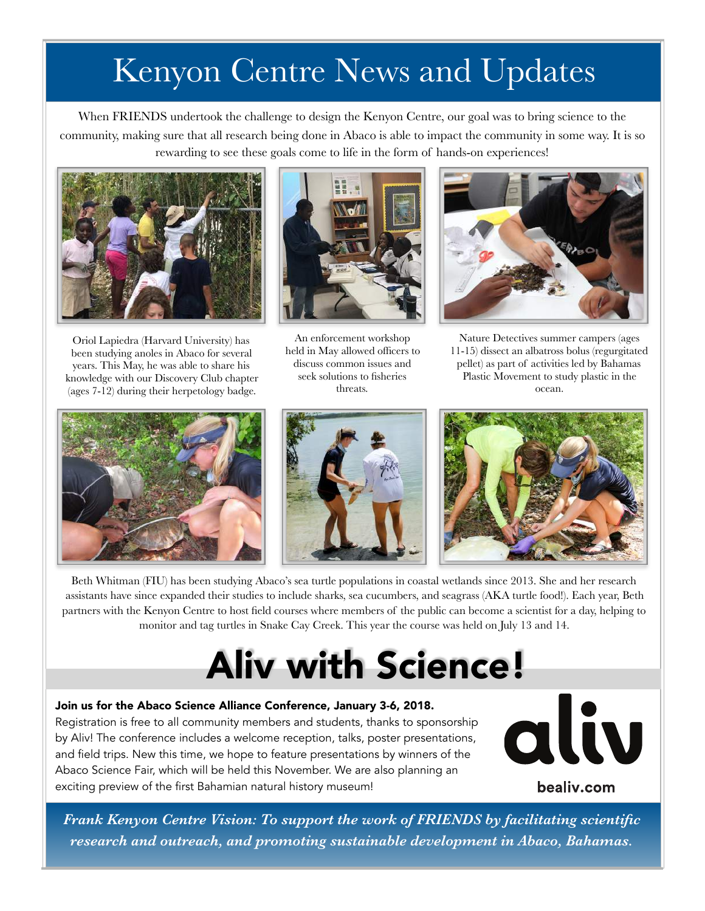## Kenyon Centre News and Updates

When FRIENDS undertook the challenge to design the Kenyon Centre, our goal was to bring science to the community, making sure that all research being done in Abaco is able to impact the community in some way. It is so rewarding to see these goals come to life in the form of hands-on experiences!



Oriol Lapiedra (Harvard University) has been studying anoles in Abaco for several years. This May, he was able to share his knowledge with our Discovery Club chapter (ages 7-12) during their herpetology badge.



An enforcement workshop held in May allowed officers to discuss common issues and seek solutions to fisheries threats.



Nature Detectives summer campers (ages 11-15) dissect an albatross bolus (regurgitated pellet) as part of activities led by Bahamas Plastic Movement to study plastic in the ocean.







Beth Whitman (FIU) has been studying Abaco's sea turtle populations in coastal wetlands since 2013. She and her research assistants have since expanded their studies to include sharks, sea cucumbers, and seagrass (AKA turtle food!). Each year, Beth partners with the Kenyon Centre to host field courses where members of the public can become a scientist for a day, helping to monitor and tag turtles in Snake Cay Creek. This year the course was held on July 13 and 14.

# Aliv with Science!

### Join us for the Abaco Science Alliance Conference, January 3-6, 2018.

Registration is free to all community members and students, thanks to sponsorship by Aliv! The conference includes a welcome reception, talks, poster presentations, and field trips. New this time, we hope to feature presentations by winners of the Abaco Science Fair, which will be held this November. We are also planning an exciting preview of the first Bahamian natural history museum!



bealiv.com

*Frank Kenyon Centre Vision: To support the work of FRIENDS by facilitating scientific research and outreach, and promoting sustainable development in Abaco, Bahamas.*